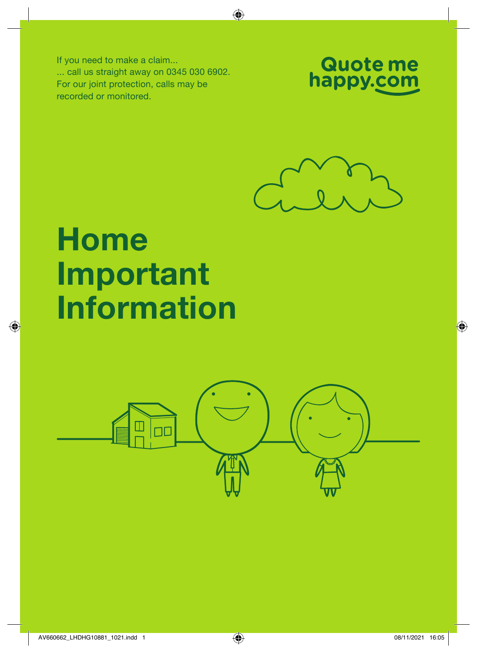If you need to make a claim... ... call us straight away on 0345 030 6902. For our joint protection, calls may be recorded or monitored.





# Home Important Information

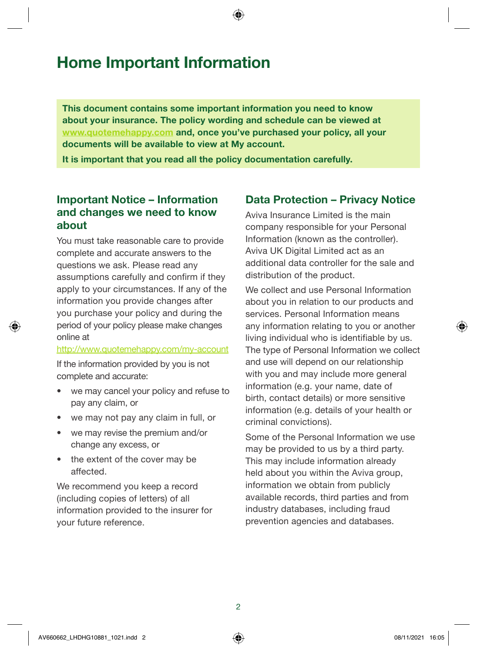This document contains some important information you need to know about your insurance. The policy wording and schedule can be viewed at [www.quotemehappy.com](http://www.quotemehappy.com) and, once you've purchased your policy, all your documents will be available to view at My account.

It is important that you read all the policy documentation carefully.

#### Important Notice – Information and changes we need to know about

You must take reasonable care to provide complete and accurate answers to the questions we ask. Please read any assumptions carefully and confirm if they apply to your circumstances. If any of the information you provide changes after you purchase your policy and during the period of your policy please make changes online at

<http://www.quotemehappy.com/my-account>

If the information provided by you is not complete and accurate:

- we may cancel your policy and refuse to pay any claim, or
- we may not pay any claim in full, or
- we may revise the premium and/or change any excess, or
- the extent of the cover may be affected.

We recommend you keep a record (including copies of letters) of all information provided to the insurer for your future reference.

#### Data Protection – Privacy Notice

Aviva Insurance Limited is the main company responsible for your Personal Information (known as the controller). Aviva UK Digital Limited act as an additional data controller for the sale and distribution of the product.

We collect and use Personal Information about you in relation to our products and services. Personal Information means any information relating to you or another living individual who is identifiable by us. The type of Personal Information we collect and use will depend on our relationship with you and may include more general information (e.g. your name, date of birth, contact details) or more sensitive information (e.g. details of your health or criminal convictions).

Some of the Personal Information we use may be provided to us by a third party. This may include information already held about you within the Aviva group, information we obtain from publicly available records, third parties and from industry databases, including fraud prevention agencies and databases.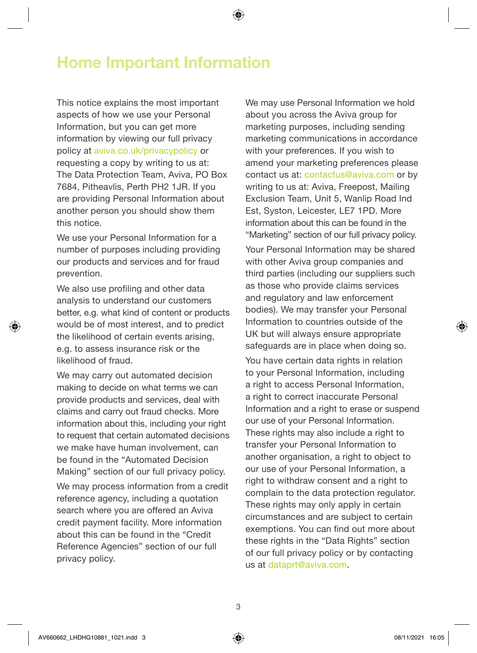This notice explains the most important aspects of how we use your Personal Information, but you can get more information by viewing our full privacy policy at [aviva.co.uk/privacypolicy](http://www.aviva.co.uk/privacypolicy) or requesting a copy by writing to us at: The Data Protection Team, Aviva, PO Box 7684, Pitheavlis, Perth PH2 1JR. If you are providing Personal Information about another person you should show them this notice.

We use your Personal Information for a number of purposes including providing our products and services and for fraud prevention.

We also use profiling and other data analysis to understand our customers better, e.g. what kind of content or products would be of most interest, and to predict the likelihood of certain events arising, e.g. to assess insurance risk or the likelihood of fraud.

We may carry out automated decision making to decide on what terms we can provide products and services, deal with claims and carry out fraud checks. More information about this, including your right to request that certain automated decisions we make have human involvement, can be found in the "Automated Decision Making" section of our full privacy policy.

We may process information from a credit reference agency, including a quotation search where you are offered an Aviva credit payment facility. More information about this can be found in the "Credit Reference Agencies" section of our full privacy policy.

We may use Personal Information we hold about you across the Aviva group for marketing purposes, including sending marketing communications in accordance with your preferences. If you wish to amend your marketing preferences please contact us at: [contactus@aviva.com](mailto:contactus@aviva.com) or by writing to us at: Aviva, Freepost, Mailing Exclusion Team, Unit 5, Wanlip Road Ind Est, Syston, Leicester, LE7 1PD. More information about this can be found in the "Marketing" section of our full privacy policy. Your Personal Information may be shared with other Aviva group companies and third parties (including our suppliers such as those who provide claims services and regulatory and law enforcement bodies). We may transfer your Personal Information to countries outside of the UK but will always ensure appropriate safeguards are in place when doing so.

You have certain data rights in relation to your Personal Information, including a right to access Personal Information, a right to correct inaccurate Personal Information and a right to erase or suspend our use of your Personal Information. These rights may also include a right to transfer your Personal Information to another organisation, a right to object to our use of your Personal Information, a right to withdraw consent and a right to complain to the data protection regulator. These rights may only apply in certain circumstances and are subject to certain exemptions. You can find out more about these rights in the "Data Rights" section of our full privacy policy or by contacting us at [dataprt@aviva.com](mailto:dataprt@aviva.com).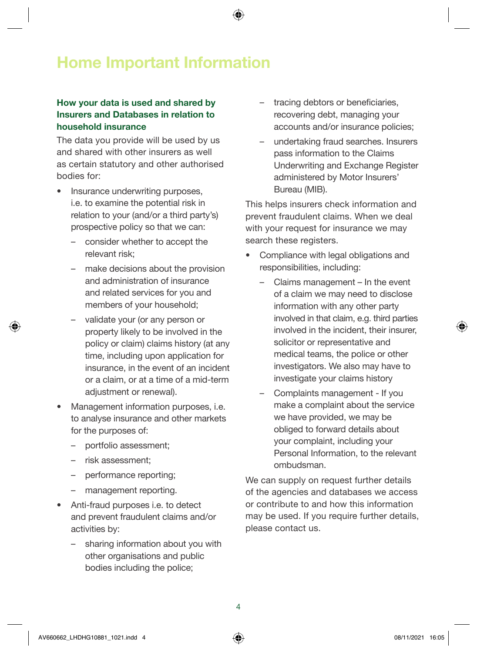#### How your data is used and shared by Insurers and Databases in relation to household insurance

The data you provide will be used by us and shared with other insurers as well as certain statutory and other authorised bodies for:

- Insurance underwriting purposes, i.e. to examine the potential risk in relation to your (and/or a third party's) prospective policy so that we can:
	- consider whether to accept the relevant risk;
	- make decisions about the provision and administration of insurance and related services for you and members of your household;
	- validate your (or any person or property likely to be involved in the policy or claim) claims history (at any time, including upon application for insurance, in the event of an incident or a claim, or at a time of a mid-term adjustment or renewal).
- Management information purposes, i.e. to analyse insurance and other markets for the purposes of:
	- portfolio assessment;
	- risk assessment;
	- performance reporting;
	- management reporting.
- Anti-fraud purposes i.e. to detect and prevent fraudulent claims and/or activities by:
	- sharing information about you with other organisations and public bodies including the police;
- tracing debtors or beneficiaries. recovering debt, managing your accounts and/or insurance policies;
- undertaking fraud searches. Insurers pass information to the Claims Underwriting and Exchange Register administered by Motor Insurers' Bureau (MIB).

This helps insurers check information and prevent fraudulent claims. When we deal with your request for insurance we may search these registers.

- Compliance with legal obligations and responsibilities, including:
	- Claims management In the event of a claim we may need to disclose information with any other party involved in that claim, e.g. third parties involved in the incident, their insurer, solicitor or representative and medical teams, the police or other investigators. We also may have to investigate your claims history
	- Complaints management If you make a complaint about the service we have provided, we may be obliged to forward details about your complaint, including your Personal Information, to the relevant ombudsman.

We can supply on request further details of the agencies and databases we access or contribute to and how this information may be used. If you require further details, please contact us.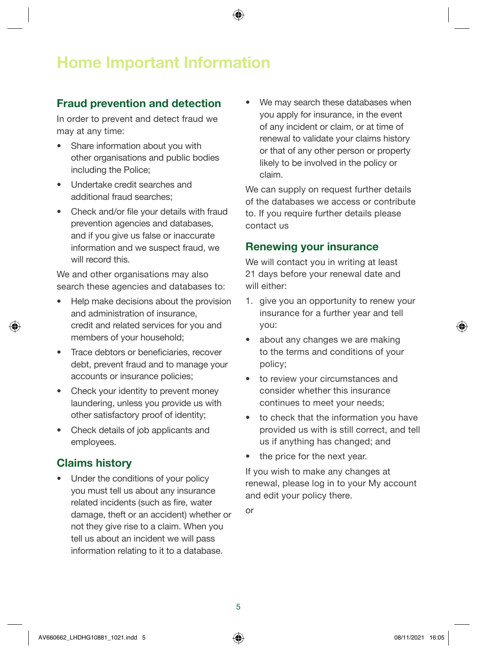## Fraud prevention and detection

In order to prevent and detect fraud we may at any time:

- Share information about you with other organisations and public bodies including the Police;
- Undertake credit searches and additional fraud searches;
- Check and/or file your details with fraud prevention agencies and databases, and if you give us false or inaccurate information and we suspect fraud, we will record this.

We and other organisations may also search these agencies and databases to:

- Help make decisions about the provision and administration of insurance, credit and related services for you and members of your household;
- Trace debtors or beneficiaries, recover debt, prevent fraud and to manage your accounts or insurance policies;
- Check your identity to prevent money laundering, unless you provide us with other satisfactory proof of identity;
- Check details of job applicants and employees.

## Claims history

• Under the conditions of your policy you must tell us about any insurance related incidents (such as fire, water damage, theft or an accident) whether or not they give rise to a claim. When you tell us about an incident we will pass information relating to it to a database.

We may search these databases when you apply for insurance, in the event of any incident or claim, or at time of renewal to validate your claims history or that of any other person or property likely to be involved in the policy or claim.

We can supply on request further details of the databases we access or contribute to. If you require further details please contact us

#### Renewing your insurance

We will contact you in writing at least 21 days before your renewal date and will either:

- 1. give you an opportunity to renew your insurance for a further year and tell you:
- about any changes we are making to the terms and conditions of your policy;
- to review your circumstances and consider whether this insurance continues to meet your needs;
- to check that the information you have provided us with is still correct, and tell us if anything has changed; and
- the price for the next year.

If you wish to make any changes at renewal, please log in to your My account and edit your policy there.

or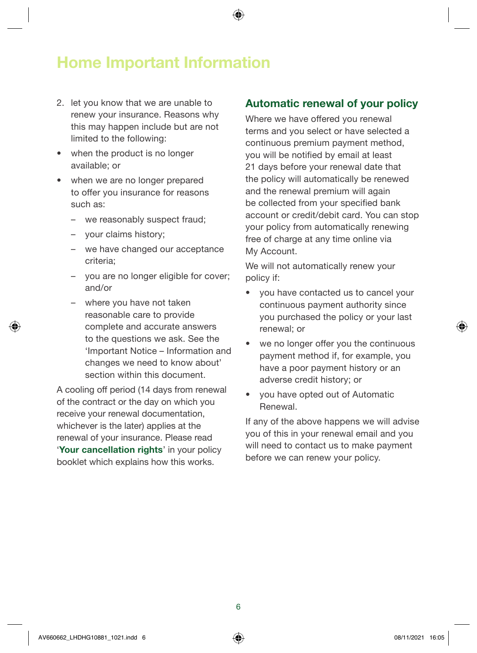- 2. let you know that we are unable to renew your insurance. Reasons why this may happen include but are not limited to the following:
- when the product is no longer available; or
- when we are no longer prepared to offer you insurance for reasons such as:
	- we reasonably suspect fraud;
	- your claims history;
	- we have changed our acceptance criteria;
	- you are no longer eligible for cover; and/or
	- where you have not taken reasonable care to provide complete and accurate answers to the questions we ask. See the 'Important Notice – Information and changes we need to know about' section within this document.

A cooling off period (14 days from renewal of the contract or the day on which you receive your renewal documentation, whichever is the later) applies at the renewal of your insurance. Please read 'Your cancellation rights' in your policy booklet which explains how this works.

#### Automatic renewal of your policy

Where we have offered you renewal terms and you select or have selected a continuous premium payment method, you will be notified by email at least 21 days before your renewal date that the policy will automatically be renewed and the renewal premium will again be collected from your specified bank account or credit/debit card. You can stop your policy from automatically renewing free of charge at any time online via My Account.

We will not automatically renew your policy if:

- you have contacted us to cancel your continuous payment authority since you purchased the policy or your last renewal; or
- we no longer offer you the continuous payment method if, for example, you have a poor payment history or an adverse credit history; or
- you have opted out of Automatic Renewal.

If any of the above happens we will advise you of this in your renewal email and you will need to contact us to make payment before we can renew your policy.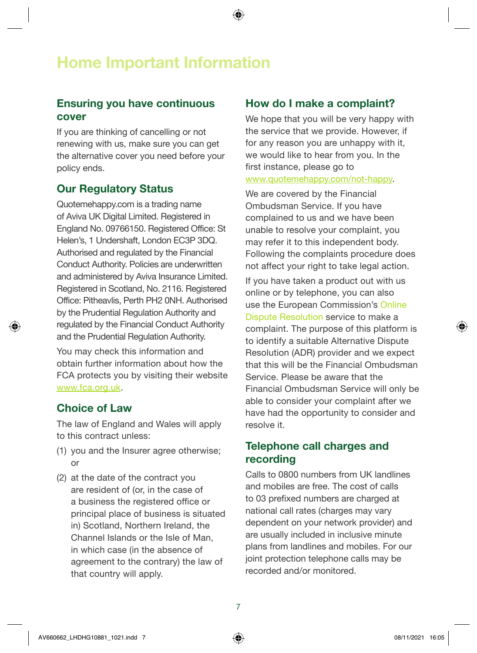## Ensuring you have continuous cover

If you are thinking of cancelling or not renewing with us, make sure you can get the alternative cover you need before your policy ends.

## Our Regulatory Status

[Quotemehappy.com](http://Quotemehappy.com) is a trading name of Aviva UK Digital Limited. Registered in England No. 09766150. Registered Office: St Helen's, 1 Undershaft, London EC3P 3DQ. Authorised and regulated by the Financial Conduct Authority. Policies are underwritten and administered by Aviva Insurance Limited. Registered in Scotland, No. 2116. Registered Office: Pitheavlis, Perth PH2 0NH. Authorised by the Prudential Regulation Authority and regulated by the Financial Conduct Authority and the Prudential Regulation Authority.

You may check this information and obtain further information about how the FCA protects you by visiting their website [www.fca.org.uk](http://www.fca.org.uk).

#### Choice of Law

The law of England and Wales will apply to this contract unless:

- (1) you and the Insurer agree otherwise; or
- (2) at the date of the contract you are resident of (or, in the case of a business the registered office or principal place of business is situated in) Scotland, Northern Ireland, the Channel Islands or the Isle of Man, in which case (in the absence of agreement to the contrary) the law of that country will apply.

## How do I make a complaint?

We hope that you will be very happy with the service that we provide. However, if for any reason you are unhappy with it, we would like to hear from you. In the first instance, please go to [www.quotemehappy.com/not-happy.](http://www.quotemehappy.com/not-happy)

We are covered by the Financial Ombudsman Service. If you have complained to us and we have been unable to resolve your complaint, you may refer it to this independent body. Following the complaints procedure does not affect your right to take legal action.

If you have taken a product out with us online or by telephone, you can also use the European Commission's [Online](http://Online Dispute Resolution)  [Dispute Resolution](http://Online Dispute Resolution) service to make a complaint. The purpose of this platform is to identify a suitable Alternative Dispute Resolution (ADR) provider and we expect that this will be the Financial Ombudsman Service. Please be aware that the Financial Ombudsman Service will only be able to consider your complaint after we have had the opportunity to consider and resolve it.

#### Telephone call charges and recording

Calls to 0800 numbers from UK landlines and mobiles are free. The cost of calls to 03 prefixed numbers are charged at national call rates (charges may vary dependent on your network provider) and are usually included in inclusive minute plans from landlines and mobiles. For our joint protection telephone calls may be recorded and/or monitored.